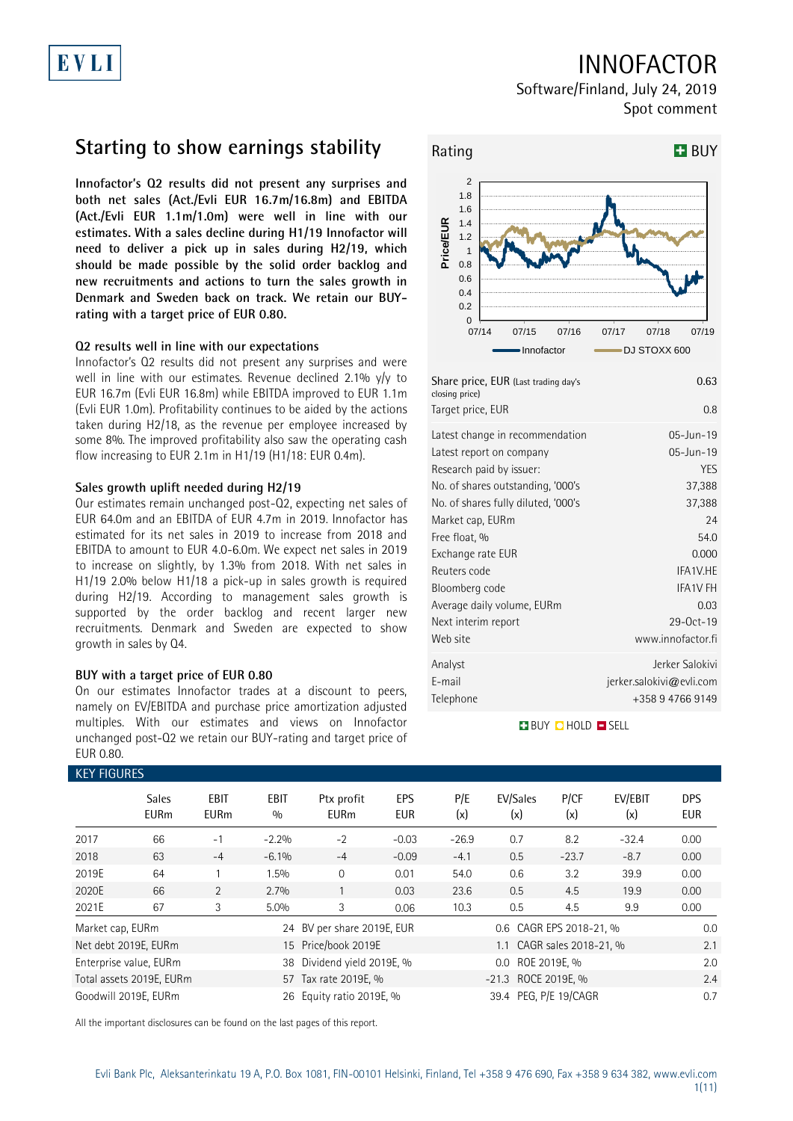# INNOFACTOR

Software/Finland, July 24, 2019 Spot comment

## **Starting to show earnings stability**

**Innofactor's Q2 results did not present any surprises and both net sales (Act./Evli EUR 16.7m/16.8m) and EBITDA (Act./Evli EUR 1.1m/1.0m) were well in line with our estimates. With a sales decline during H1/19 Innofactor will need to deliver a pick up in sales during H2/19, which should be made possible by the solid order backlog and new recruitments and actions to turn the sales growth in Denmark and Sweden back on track. We retain our BUYrating with a target price of EUR 0.80.**

### **Q2 results well in line with our expectations**

Innofactor's Q2 results did not present any surprises and were well in line with our estimates. Revenue declined 2.1% y/y to EUR 16.7m (Evli EUR 16.8m) while EBITDA improved to EUR 1.1m (Evli EUR 1.0m). Profitability continues to be aided by the actions taken during H2/18, as the revenue per employee increased by some 8%. The improved profitability also saw the operating cash flow increasing to EUR 2.1m in H1/19 (H1/18: EUR 0.4m).

### **Sales growth uplift needed during H2/19**

Our estimates remain unchanged post-Q2, expecting net sales of EUR 64.0m and an EBITDA of EUR 4.7m in 2019. Innofactor has estimated for its net sales in 2019 to increase from 2018 and EBITDA to amount to EUR 4.0-6.0m. We expect net sales in 2019 to increase on slightly, by 1.3% from 2018. With net sales in H1/19 2.0% below H1/18 a pick-up in sales growth is required during H2/19. According to management sales growth is supported by the order backlog and recent larger new recruitments. Denmark and Sweden are expected to show growth in sales by Q4.

### **BUY with a target price of EUR 0.80**

On our estimates Innofactor trades at a discount to peers, namely on EV/EBITDA and purchase price amortization adjusted multiples. With our estimates and views on Innofactor unchanged post-Q2 we retain our BUY-rating and target price of EUR 0.80.

### KEY FIGURES

| NET FIUUNES      |                             |                            |             |                            |                   |            |                           |             |                |                          |
|------------------|-----------------------------|----------------------------|-------------|----------------------------|-------------------|------------|---------------------------|-------------|----------------|--------------------------|
|                  | <b>Sales</b><br><b>EURm</b> | <b>EBIT</b><br><b>EURm</b> | EBIT<br>0/0 | Ptx profit<br><b>EURm</b>  | EPS<br><b>EUR</b> | P/E<br>(x) | EV/Sales<br>(x)           | P/CF<br>(x) | EV/EBIT<br>(x) | <b>DPS</b><br><b>EUR</b> |
| 2017             | 66                          | $-1$                       | $-2.2%$     | $-2$                       | $-0.03$           | $-26.9$    | 0.7                       | 8.2         | $-32.4$        | 0.00                     |
| 2018             | 63                          | $-4$                       | $-6.1\%$    | $-4$                       | $-0.09$           | $-4.1$     | 0.5                       | $-23.7$     | $-8.7$         | 0.00                     |
| 2019E            | 64                          |                            | 1.5%        | $\mathbf 0$                | 0.01              | 54.0       | 0.6                       | 3.2         | 39.9           | 0.00                     |
| 2020E            | 66                          | 2                          | 2.7%        |                            | 0.03              | 23.6       | 0.5                       | 4.5         | 19.9           | 0.00                     |
| 2021E            | 67                          | 3                          | 5.0%        | 3                          | 0.06              | 10.3       | 0.5                       | 4.5         | 9.9            | 0.00                     |
| Market cap, EURm |                             |                            |             | 24 BV per share 2019E, EUR |                   |            | 0.6 CAGR EPS 2018-21, %   |             |                | 0.0                      |
|                  | Net debt 2019E, EURm        |                            |             | 15 Price/book 2019E        |                   |            | 1.1 CAGR sales 2018-21, % |             |                | 2.1                      |
|                  | Enterprise value, EURm      |                            |             | 38 Dividend yield 2019E, % |                   |            | 0.0 ROE 2019E, %          |             |                | 2.0                      |
|                  | Total assets 2019E, EURm    |                            |             | 57 Tax rate 2019E, %       |                   |            | -21.3 ROCE 2019E, %       |             |                | 2.4                      |
|                  | Goodwill 2019E. EURm        |                            |             | 26 Equity ratio 2019E, %   |                   |            | 39.4 PEG. P/E 19/CAGR     |             |                | 0.7                      |

All the important disclosures can be found on the last pages of this report.



| Share price, EUR (Last trading day's<br>closing price) | 0.63                     |
|--------------------------------------------------------|--------------------------|
| Target price, EUR                                      | 0.8                      |
| Latest change in recommendation                        | 05-Jun-19                |
| Latest report on company                               | 05-Jun-19                |
| Research paid by issuer:                               | YES                      |
| No. of shares outstanding, '000's                      | 37,388                   |
| No. of shares fully diluted, '000's                    | 37,388                   |
| Market cap, EURm                                       | 24                       |
| Free float, %                                          | 54.0                     |
| Exchange rate EUR                                      | 0.000                    |
| Reuters code                                           | IFA1V.HE                 |
| Bloomberg code                                         | <b>IFA1V FH</b>          |
| Average daily volume, EURm                             | 0.03                     |
| Next interim report                                    | 29-0ct-19                |
| Web site                                               | www.innofactor.fi        |
| Analyst                                                | Jerker Salokivi          |
| E-mail                                                 | jerker.salokivi@evli.com |
| Telephone                                              | +358947669149            |
|                                                        |                          |

### **BUY QHOLD SELL**

Evli Bank Plc, Aleksanterinkatu 19 A, P.O. Box 1081, FIN-00101 Helsinki, Finland, Tel +358 9 476 690, Fax +358 9 634 382, [www.evli.com](http://www.evli.com/) 1(11)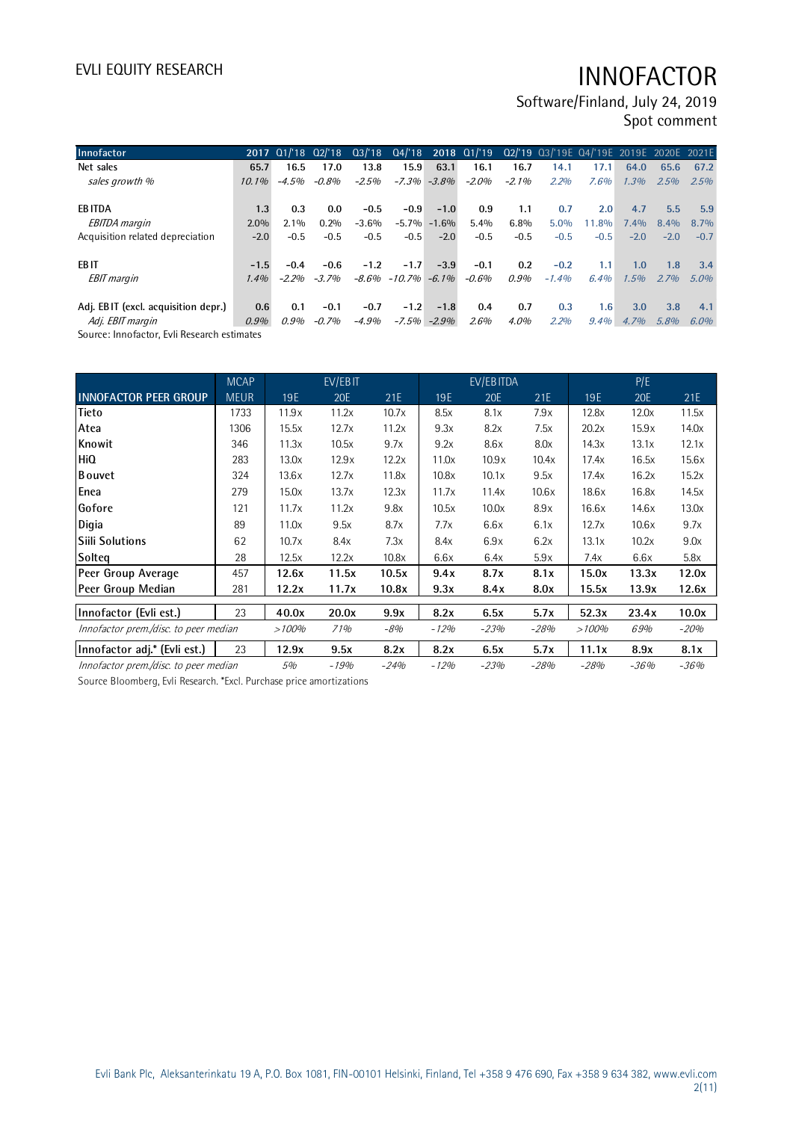Software/Finland, July 24, 2019 Spot comment

| Innofactor                          |          | 2017 01/18 02/18 |         |          |                         |                 |         |          | Q3/'18 Q4/'18 2018 Q1/'19 Q2/'19 Q3/'19E Q4/'19E 2019E 2020E 2021E |         |         |        |         |
|-------------------------------------|----------|------------------|---------|----------|-------------------------|-----------------|---------|----------|--------------------------------------------------------------------|---------|---------|--------|---------|
| Net sales                           | 65.7     | 16.5             | 17.0    | 13.8     | 15.9                    | 63.1            | 16.1    | 16.7     | 14.1                                                               | 17.1    | 64.0    | 65.6   | 67.2    |
| sales growth %                      | $10.1\%$ | $-4.5%$          | -0.8%   | $-2.5%$  |                         | $-7.3\% -3.8\%$ | $-2.0%$ | $-2.1\%$ | 2.2%                                                               | 7.6%    | 1.3%    | 2.5%   | 2.5%    |
|                                     |          |                  |         |          |                         |                 |         |          |                                                                    |         |         |        |         |
| <b>EBITDA</b>                       | 1.3      | 0.3              | 0.0     | $-0.5$   | $-0.9$                  | $-1.0$          | 0.9     | 1.1      | 0.7                                                                | 2.0     | 4.7     | 5.5    | 5.9     |
| <b>EBITDA</b> margin                | $2.0\%$  | $2.1\%$          | 0.2%    | $-3.6%$  |                         | $-5.7\% -1.6\%$ | 5.4%    | $6.8\%$  | 5.0%                                                               | 11.8%   | 7.4%    | 8.4%   | $8.7\%$ |
| Acquisition related depreciation    | $-2.0$   | $-0.5$           | $-0.5$  | $-0.5$   | $-0.5$                  | $-2.0$          | $-0.5$  | $-0.5$   | $-0.5$                                                             | $-0.5$  | $-2.0$  | $-2.0$ | $-0.7$  |
| EB IT                               | $-1.5$   | $-0.4$           | $-0.6$  | $-1.2$   | $-1.7$                  | $-3.9$          | $-0.1$  | 0.2      | $-0.2$                                                             | 1.1     | 1.0     | 1.8    | 3.4     |
| <b>EBIT</b> margin                  | 1.4%     | $-2,000$         | $-3.7%$ |          | $-8.6\% -10.7\% -6.1\%$ |                 | $-0.6%$ | 0.9%     | $-1.4%$                                                            | 6.4%    | 1.5%    | 2.7%   | $5.0\%$ |
|                                     |          |                  |         |          |                         |                 |         |          |                                                                    |         |         |        |         |
| Adj. EBIT (excl. acquisition depr.) | 0.6      | 0.1              | $-0.1$  | $-0.7$   | $-1.2$                  | $-1.8$          | 0.4     | 0.7      | 0.3                                                                | 1.6     | 3.0     | 3.8    | 4.1     |
| Adj. EBIT margin                    | 0.9%     | 0.9%             | $-0.7%$ | $-4.9\%$ | $-7.5\%$                | $-2.9%$         | 2.6%    | $4.0\%$  | 2.2%                                                               | $9.4\%$ | $4.7\%$ | 5.8%   | $6.0\%$ |

Source: Innofactor, Evli Research estimates

|                                       | <b>MCAP</b> |       | EV/EBIT |        |            | EV/EBITDA  |        |        | P/E        |        |
|---------------------------------------|-------------|-------|---------|--------|------------|------------|--------|--------|------------|--------|
| <b>INNOFACTOR PEER GROUP</b>          | <b>MEUR</b> | 19E   | 20E     | 21E    | <b>19E</b> | <b>20E</b> | 21E    | 19E    | <b>20E</b> | 21E    |
| <b>Tieto</b>                          | 1733        | 11.9x | 11.2x   | 10.7x  | 8.5x       | 8.1x       | 7.9x   | 12.8x  | 12.0x      | 11.5x  |
| Atea                                  | 1306        | 15.5x | 12.7x   | 11.2x  | 9.3x       | 8.2x       | 7.5x   | 20.2x  | 15.9x      | 14.0x  |
| Knowit                                | 346         | 11.3x | 10.5x   | 9.7x   | 9.2x       | 8.6x       | 8.0x   | 14.3x  | 13.1x      | 12.1x  |
| <b>HiQ</b>                            | 283         | 13.0x | 12.9x   | 12.2x  | 11.0x      | 10.9x      | 10.4x  | 17.4x  | 16.5x      | 15.6x  |
| <b>B</b> ouvet                        | 324         | 13.6x | 12.7x   | 11.8x  | 10.8x      | 10.1x      | 9.5x   | 17.4x  | 16.2x      | 15.2x  |
| Enea                                  | 279         | 15.0x | 13.7x   | 12.3x  | 11.7x      | 11.4x      | 10.6x  | 18.6x  | 16.8x      | 14.5x  |
| Gofore                                | 121         | 11.7x | 11.2x   | 9.8x   | 10.5x      | 10.0x      | 8.9x   | 16.6x  | 14.6x      | 13.0x  |
| Digia                                 | 89          | 11.0x | 9.5x    | 8.7x   | 7.7x       | 6.6x       | 6.1x   | 12.7x  | 10.6x      | 9.7x   |
| <b>Siili Solutions</b>                | 62          | 10.7x | 8.4x    | 7.3x   | 8.4x       | 6.9x       | 6.2x   | 13.1x  | 10.2x      | 9.0x   |
| Solteg                                | 28          | 12.5x | 12.2x   | 10.8x  | 6.6x       | 6.4x       | 5.9x   | 7.4x   | 6.6x       | 5.8x   |
| Peer Group Average                    | 457         | 12.6x | 11.5x   | 10.5x  | 9.4x       | 8.7x       | 8.1x   | 15.0x  | 13.3x      | 12.0x  |
| Peer Group Median                     | 281         | 12.2x | 11.7x   | 10.8x  | 9.3x       | 8.4x       | 8.0x   | 15.5x  | 13.9x      | 12.6x  |
| Innofactor (Evli est.)                | 23          | 40.0x | 20.0x   | 9.9x   | 8.2x       | 6.5x       | 5.7x   | 52.3x  | 23.4x      | 10.0x  |
| Innofactor prem./disc. to peer median |             | >100% | 71%     | -8%    | $-12%$     | $-23%$     | $-28%$ | >100%  | 69%        | $-20%$ |
| Innofactor adj.* (Evli est.)          | 23          | 12.9x | 9.5x    | 8.2x   | 8.2x       | 6.5x       | 5.7x   | 11.1x  | 8.9x       | 8.1x   |
| Innofactor prem./disc. to peer median |             | 5%    | $-19%$  | $-24%$ | $-12%$     | $-23%$     | $-28%$ | $-28%$ | -36%       | -36%   |

Source Bloomberg, Evli Research. \*Excl. Purchase price amortizations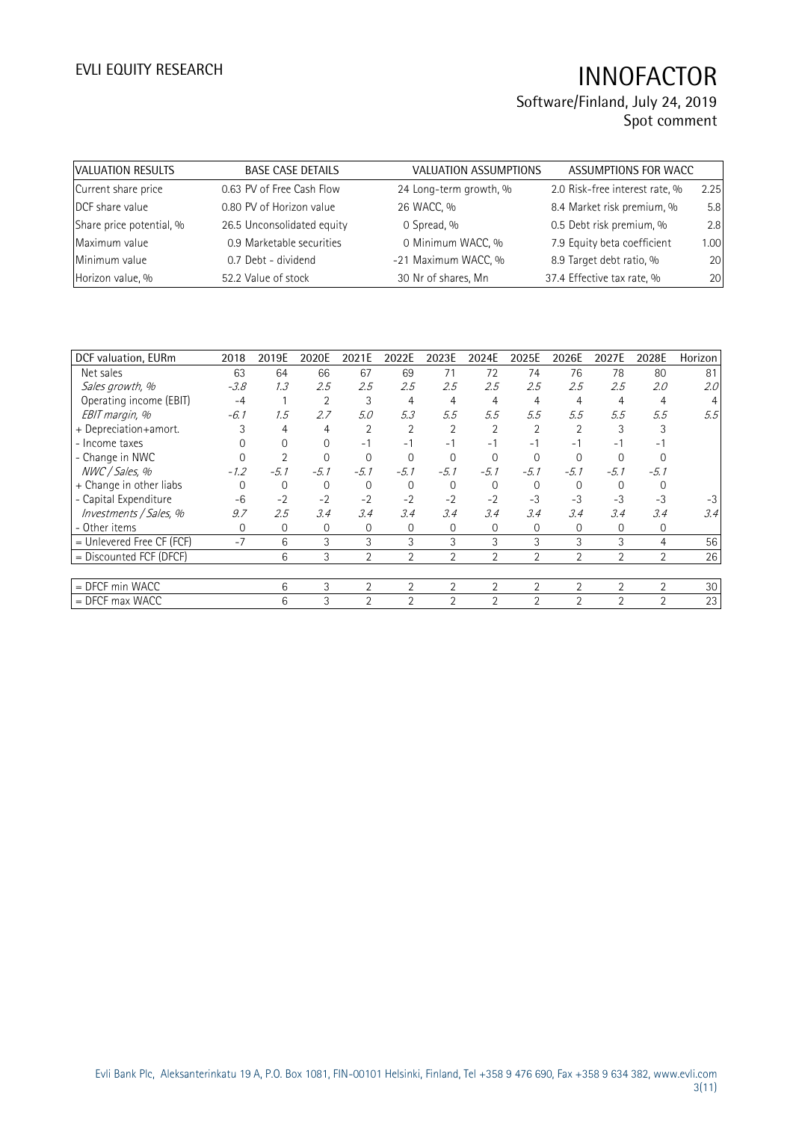## Software/Finland, July 24, 2019 Spot comment

| VALUATION RESULTS        | <b>BASE CASE DETAILS</b>   | <b>VALUATION ASSUMPTIONS</b> | ASSUMPTIONS FOR WACC           |      |
|--------------------------|----------------------------|------------------------------|--------------------------------|------|
| Current share price      | 0.63 PV of Free Cash Flow  | 24 Long-term growth, %       | 2.0 Risk-free interest rate, % | 2.25 |
| DCF share value          | 0.80 PV of Horizon value   | 26 WACC, %                   | 8.4 Market risk premium, %     | 5.8  |
| Share price potential, % | 26.5 Unconsolidated equity | 0 Spread, %                  | 0.5 Debt risk premium, %       | 2.8  |
| Maximum value            | 0.9 Marketable securities  | 0 Minimum WACC, %            | 7.9 Equity beta coefficient    | 1.00 |
| Minimum value            | 0.7 Debt - dividend        | -21 Maximum WACC, %          | 8.9 Target debt ratio, %       | 20   |
| Horizon value, %         | 52.2 Value of stock        | 30 Nr of shares, Mn          | 37.4 Effective tax rate, %     | 20   |

| DCF valuation, EURm         | 2018     | 2019E          | 2020E    | 2021E          | 2022E          | 2023E          | 2024E          | 2025E          | 2026E          | 2027E          | 2028E          | Horizon |
|-----------------------------|----------|----------------|----------|----------------|----------------|----------------|----------------|----------------|----------------|----------------|----------------|---------|
| Net sales                   | 63       |                | 66       | 67             | 69             |                | 72             | 74             | 76             | 78             | 80             | 81      |
|                             |          | 64             |          |                |                | 71             |                |                |                |                |                |         |
| Sales growth, %             | $-3.8$   | 1.3            | 2.5      | 2.5            | 2.5            | 2.5            | 2.5            | 2.5            | 2.5            | 2.5            | 2.0            | 2.0     |
| Operating income (EBIT)     | $-4$     |                | 2        | 3              | 4              | 4              | 4              | $\overline{4}$ | 4              | 4              | 4              |         |
| EBIT margin, %              | -6.1     | 1.5            | 2.7      | 5.0            | 5.3            | 5.5            | 5.5            | 5.5            | 5.5            | 5.5            | 5.5            | 5.5     |
| + Depreciation+amort.       |          | $\overline{4}$ | 4        | 2              | $\overline{2}$ |                |                |                |                |                |                |         |
| - Income taxes              |          | $\Omega$       | $\Omega$ | - 1            | $-1$           | $-1$           | -1             | - 1            |                | - 1            |                |         |
| - Change in NWC             |          |                | $\Omega$ |                | $\Omega$       |                |                | 0              |                |                |                |         |
| NWC / Sales, %              | $-1.2$   | $-5.1$         | $-5.1$   | $-5.1$         | $-5.1$         | $-5.1$         | $-5.1$         | $-5.1$         | $-5.1$         | $-5.1$         | $-5.1$         |         |
| + Change in other liabs     |          | 0              | 0        | $\Omega$       | 0              | $\Omega$       | $\Omega$       | $\Omega$       | $\Omega$       |                |                |         |
| - Capital Expenditure       | $-6$     | $-2$           | $-2$     | $-2$           | $-2$           | $-2$           | $-2$           | $-3$           | $-3$           | $-3$           | $-3$           |         |
| Investments / Sales, %      | 9.7      | 2.5            | 3.4      | 3.4            | 3.4            | 3.4            | 3.4            | 3.4            | 3.4            | 3.4            | 3.4            | 3.4     |
| - Other items               | $\Omega$ | $\mathbf{0}$   | $\Omega$ | 0              | 0              | $\Omega$       | 0              | $\Omega$       | 0              | 0              | 0              |         |
| $=$ Unlevered Free CF (FCF) | $-7$     | 6              | 3        | 3              | 3              | 3              | 3              | 3              | 3              | 3              | 4              | 56      |
| = Discounted FCF (DFCF)     |          | 6              | 3        | $\overline{2}$ | $\overline{2}$ | $\overline{2}$ | $\overline{2}$ | $\overline{2}$ | $\overline{2}$ | $\overline{2}$ | 2              | 26      |
|                             |          |                |          |                |                |                |                |                |                |                |                |         |
| = DFCF min WACC             |          | 6              | 3        | $\overline{2}$ | 2              | 2              | 2              | $\overline{2}$ | 2              | $\overline{2}$ | $\overline{2}$ | 30      |
| $=$ DFCF max WACC           |          | 6              | 3        | 2              | 2              | 2              | $\overline{2}$ | $\overline{2}$ | $\overline{2}$ | $\mathfrak{D}$ | 2              | 23      |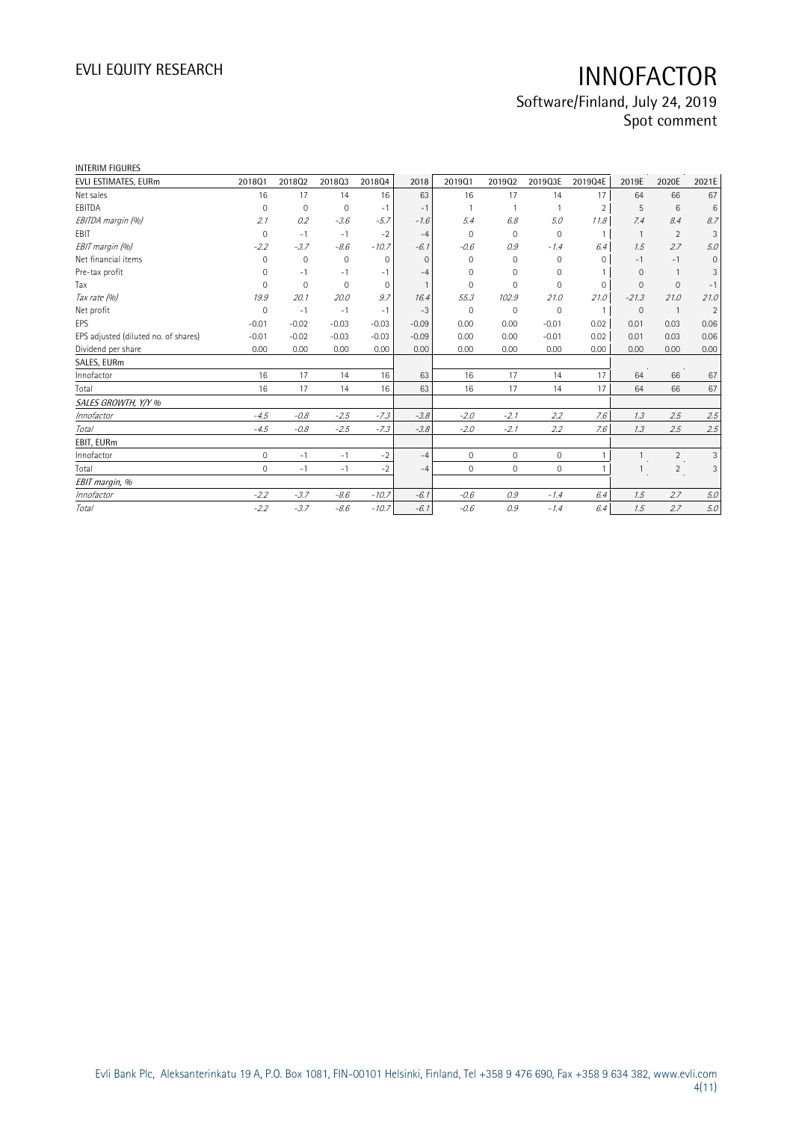# EVLI EQUITY RESEARCH **INNOFACTOR** Software/Finland, July 24, 2019

Spot comment

| <b>INTERIM FIGURES</b>               |                     |             |              |             |          |              |              |             |                |                |                |                |
|--------------------------------------|---------------------|-------------|--------------|-------------|----------|--------------|--------------|-------------|----------------|----------------|----------------|----------------|
| EVLI ESTIMATES, EURm                 | 201801              | 201802      | 201803       | 201804      | 2018     | 201901       | 201902       | 2019Q3E     | 2019Q4E        | 2019E          | 2020E          | 2021E          |
| Net sales                            | 16                  | 17          | 14           | 16          | 63       | 16           | 17           | 14          | 17             | 64             | 66             | 67             |
| EBITDA                               | 0                   | $\mathbf 0$ | $\mathbf{0}$ | $-1$        | $-1$     |              |              |             | $\overline{2}$ | 5              | 6              | 6              |
| EBITDA margin (%)                    | 2.1                 | 0.2         | $-3.6$       | $-5.7$      | $-1.6$   | 5.4          | 6.8          | 5.0         | 11.8           | 7.4            | 8.4            | 8.7            |
| EBIT                                 | $\mathbf 0$         | $-1$        | $-1$         | $-2$        | $-4$     | $\Omega$     | $\mathbf 0$  | 0           | $\mathbf{1}$   | $\overline{1}$ | $\overline{2}$ | 3              |
| EBIT margin (%)                      | $-2.2$              | $-3.7$      | $-8.6$       | $-10.7$     | $-6.1$   | $-0.6$       | 0.9          | $-1.4$      | 6.4            | 1.5            | 2.7            | 5.0            |
| Net financial items                  | $\Omega$            | $\mathbf 0$ | $\mathbf{0}$ | $\Omega$    | $\Omega$ | $\Omega$     | $\Omega$     | 0           | $\Omega$       | $-1$           | $-1$           | $\mathbf{0}$   |
| Pre-tax profit                       | 0                   | $-1$        | $-1$         | $-1$        | $-4$     | $\Omega$     | $\Omega$     | 0           |                | $\Omega$       |                | 3              |
| Tax                                  | $\Omega$            | $\mathbf 0$ | $\mathbf 0$  | $\mathbf 0$ |          | $\Omega$     | $\Omega$     | $\mathbf 0$ | $\mathbf 0$    | $\Omega$       | $\mathbf{0}$   | $-1$           |
| Tax rate (%)                         | 19.9                | 20.1        | 20.0         | 9.7         | 16.4     | 55.3         | 102.9        | 21.0        | 21.0           | $-21.3$        | 21.0           | 21.0           |
| Net profit                           | $\mathbf 0$         | $-1$        | $-1$         | $-1$        | $-3$     | $\Omega$     | 0            | 0           | $\overline{1}$ | $\mathbf{0}$   | $\overline{1}$ | $\overline{2}$ |
| EPS                                  | $-0.01$             | $-0.02$     | $-0.03$      | $-0.03$     | $-0.09$  | 0.00         | 0.00         | $-0.01$     | 0.02           | 0.01           | 0.03           | 0.06           |
| EPS adjusted (diluted no. of shares) | $-0.01$             | $-0.02$     | $-0.03$      | $-0.03$     | $-0.09$  | 0.00         | 0.00         | $-0.01$     | 0.02           | 0.01           | 0.03           | 0.06           |
| Dividend per share                   | 0.00                | 0.00        | 0.00         | 0.00        | 0.00     | 0.00         | 0.00         | 0.00        | 0.00           | 0.00           | 0.00           | 0.00           |
| SALES, EURm                          |                     |             |              |             |          |              |              |             |                |                |                |                |
| Innofactor                           | 16                  | 17          | 14           | 16          | 63       | 16           | 17           | 14          | 17             | 64             | 66             | 67             |
| Total                                | 16                  | 17          | 14           | 16          | 63       | 16           | 17           | 14          | 17             | 64             | 66             | 67             |
| SALES GROWTH, Y/Y %                  |                     |             |              |             |          |              |              |             |                |                |                |                |
| Innofactor                           | $-4.5$              | $-0.8$      | $-2.5$       | $-7.3$      | $-3.8$   | $-2.0$       | $-2.1$       | 2.2         | 7.6            | 1.3            | 2.5            | 2.5            |
| <b>Total</b>                         | $-4.5$              | $-0.8$      | $-2.5$       | $-7.3$      | $-3.8$   | $-2.0$       | $-2.1$       | 2.2         | 7.6            | 1.3            | 2.5            | 2.5            |
| EBIT, EURm                           |                     |             |              |             |          |              |              |             |                |                |                |                |
| Innofactor                           | $\mathsf{O}\xspace$ | $-1$        | $-1$         | $-2$        | $-4$     | $\mathbf{0}$ | $\mathbf 0$  | 0           |                | $\overline{1}$ | $\overline{2}$ | 3              |
| Total                                | $\mathbf 0$         | $-1$        | $-1$         | $-2$        | $-4$     | $\mathbf{0}$ | $\mathbf{0}$ | 0           |                |                | $\overline{2}$ | 3              |
| EBIT margin, %                       |                     |             |              |             |          |              |              |             |                |                |                |                |
| Innofactor                           | $-2.2$              | $-3.7$      | $-8.6$       | $-10.7$     | $-6.1$   | $-0.6$       | 0.9          | $-1.4$      | 6.4            | 1.5            | 2.7            | 5.0            |
| Total                                | $-2.2$              | $-3.7$      | $-8.6$       | $-10.7$     | $-6.1$   | $-0.6$       | 0.9          | $-1.4$      | 6.4            | 1.5            | 2.7            | 5.0            |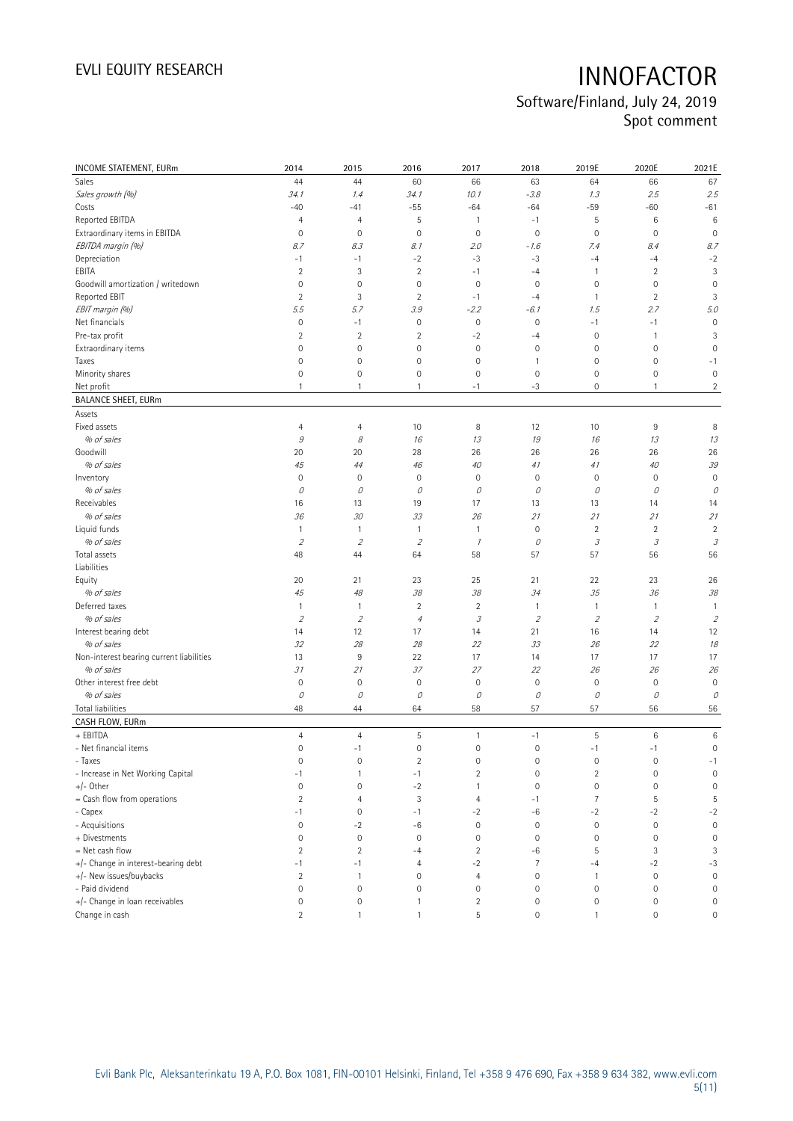## Software/Finland, July 24, 2019 Spot comment

| INCOME STATEMENT, EURm                   | 2014                    | 2015                        | 2016                | 2017                | 2018           | 2019E                       | 2020E               | 2021E               |
|------------------------------------------|-------------------------|-----------------------------|---------------------|---------------------|----------------|-----------------------------|---------------------|---------------------|
| Sales                                    | 44                      | 44                          | 60                  | 66                  | 63             | 64                          | 66                  | 67                  |
| Sales growth (%)                         | 34.1                    | 1.4                         | 34.1                | 10.1                | $-3.8$         | 1.3                         | 2.5                 | 2.5                 |
| Costs                                    | $-40$                   | $-41$                       | $-55$               | $-64$               | $-64$          | $-59$                       | $-60$               | $-61$               |
| Reported EBITDA                          | $\overline{4}$          | $\overline{4}$              | 5                   | 1                   | $-1$           | 5                           | 6                   | 6                   |
| Extraordinary items in EBITDA            | $\mathbf 0$             | $\mathbf 0$                 | $\mathbf 0$         | $\mathbf 0$         | $\mathbf 0$    | $\mathbf 0$                 | $\mathbf 0$         | $\mathbf 0$         |
| EBITDA margin (%)                        | 8.7                     | 8.3                         | 8.1                 | 2.0                 | $-1.6$         | 7.4                         | 8.4                 | 8.7                 |
| Depreciation                             | $-1$                    | $-1$                        | $-2$                | $-3$                | $-3$           | $-4$                        | $-4$                | $-2$                |
| EBITA                                    | $\overline{2}$          | 3                           | $\sqrt{2}$          | $-1$                | $-4$           | $\mathbf{1}$                | $\overline{c}$      | 3                   |
| Goodwill amortization / writedown        | $\mathbf 0$             | $\mathbf 0$                 | $\mathbf 0$         | $\mathbf 0$         | $\mathbf 0$    | $\mathbf 0$                 | $\mathbf 0$         | $\mathbf 0$         |
| Reported EBIT                            | $\overline{2}$          | 3                           | $\overline{2}$      | $-1$                | $-4$           | $\mathbf{1}$                | $\overline{2}$      | 3                   |
| EBIT margin (%)                          | 5.5                     | 5.7                         | 3.9                 | $-2.2$              | $-6.1$         | 1.5                         | 2.7                 | 5.0                 |
| Net financials                           | 0                       | $-1$                        | $\mathbf 0$         | $\mathbf 0$         | $\mathbf 0$    | $-1$                        | $-1$                | $\mathbf 0$         |
| Pre-tax profit                           | $\overline{2}$          | $\sqrt{2}$                  | $\overline{2}$      | $-2$                | $-4$           | $\mathbb O$                 | 1                   | 3                   |
| Extraordinary items                      | $\mathsf{O}\xspace$     | $\mathbf 0$                 | $\mathsf{O}\xspace$ | $\mathbf 0$         | $\mathbf 0$    | $\mathbf 0$                 | 0                   | $\mathbf 0$         |
| Taxes                                    | $\mathbf 0$             | $\mathbf 0$                 | 0                   | $\mathbf 0$         | $\mathbf{1}$   | $\mathsf{O}\xspace$         | 0                   | $-1$                |
| Minority shares                          | 0                       | $\mathsf{O}\xspace$         | $\mathsf{O}\xspace$ | $\mathsf{O}\xspace$ | $\mathbf 0$    | $\mathbb O$                 | 0                   | $\mathbf 0$         |
| Net profit                               | $\mathbf{1}$            | $\mathbf{1}$                | 1                   | $-1$                | $-3$           | $\mathbb O$                 | 1                   | $\overline{2}$      |
| <b>BALANCE SHEET, EURm</b>               |                         |                             |                     |                     |                |                             |                     |                     |
|                                          |                         |                             |                     |                     |                |                             |                     |                     |
| Assets                                   |                         |                             |                     |                     |                |                             |                     |                     |
| Fixed assets                             | $\overline{4}$          | $\overline{4}$              | 10                  | 8                   | 12             | 10                          | 9                   | 8                   |
| % of sales                               | $\mathcal G$            | 8                           | 16                  | 13                  | 19             | 16                          | 13                  | 13                  |
| Goodwill                                 | 20                      | 20                          | 28                  | 26                  | 26             | 26                          | 26                  | 26                  |
| % of sales                               | 45                      | 44                          | 46                  | 40                  | 41             | 41                          | 40                  | 39                  |
| Inventory                                | $\mathbf 0$             | 0                           | $\mathbf 0$         | $\mathbf 0$         | 0              | $\mathbb O$                 | $\mathbf 0$         | $\mathbf 0$         |
| % of sales                               | 0                       | $\mathcal O$                | О                   | 0                   | 0              | 0                           | 0                   | 0                   |
| Receivables                              | 16                      | 13                          | 19                  | 17                  | 13             | 13                          | 14                  | 14                  |
| % of sales                               | 36                      | 30                          | 33                  | 26                  | 21             | 21                          | 21                  | 21                  |
| Liquid funds                             | $\mathbf{1}$            | $\mathbf{1}$                | $\mathbf{1}$        | 1                   | $\mathbf 0$    | $\sqrt{2}$                  | $\sqrt{2}$          | $\overline{2}$      |
| % of sales                               | $\sqrt{2}$              | $\mathcal{L}_{\mathcal{L}}$ | $\sqrt{2}$          | $\mathcal I$        | 0              | $\mathcal{S}_{\mathcal{S}}$ | 3                   | $\mathcal{I}$       |
| Total assets<br>Liabilities              | 48                      | 44                          | 64                  | 58                  | 57             | 57                          | 56                  | 56                  |
| Equity                                   | 20                      | 21                          | 23                  | 25                  | 21             | 22                          | 23                  | 26                  |
| % of sales                               | 45                      | 48                          | 38                  | 38                  | 34             | 35                          | 36                  | 38                  |
| Deferred taxes                           | $\mathbf{1}$            | $\mathbf{1}$                | $\overline{2}$      | $\overline{2}$      | $\overline{1}$ | $\mathbf{1}$                | 1                   | $\overline{1}$      |
| % of sales                               | $\overline{2}$          | $\mathcal{L}_{\mathcal{L}}$ | $\overline{4}$      | $\mathcal{I}% _{G}$ | $\overline{2}$ | $\mathcal{L}_{\mathcal{L}}$ | $\overline{2}$      | $\overline{2}$      |
| Interest bearing debt                    | 14                      | 12                          | 17                  | 14                  | 21             | 16                          | 14                  | 12                  |
| % of sales                               | 32                      | 28                          | 28                  | 22                  | 33             | 26                          | 22                  | 18                  |
| Non-interest bearing current liabilities | 13                      | 9                           | 22                  | 17                  | 14             | 17                          | 17                  | 17                  |
| % of sales                               | 31                      | 21                          | 37                  | 27                  | 22             | 26                          | 26                  | 26                  |
| Other interest free debt                 | $\mathbf 0$             | $\mathbf 0$                 | $\bf 0$             | $\mathbf 0$         | $\mathbb O$    | $\mathsf{O}\xspace$         | $\mathbf 0$         | $\mathbf 0$         |
| % of sales                               | 0                       | 0                           | 0                   | 0                   | 0              | 0                           | 0                   | 0                   |
| <b>Total liabilities</b>                 | 48                      | 44                          | 64                  | 58                  | 57             | 57                          | 56                  | 56                  |
| CASH FLOW, EURm                          |                         |                             |                     |                     |                |                             |                     |                     |
| + EBITDA                                 | $\overline{4}$          | $\overline{4}$              | 5                   | 1                   | $-1$           | 5                           | 6                   | 6                   |
| - Net financial items                    | $\mathsf{O}\xspace$     | $-1$                        | $\mathsf{O}\xspace$ | $\mathsf{O}\xspace$ | $\mathbf 0$    | $-1$                        | $-1$                | $\mathsf{O}\xspace$ |
| - Taxes                                  | 0                       | 0                           | 2                   | 0                   | $\mathbf 0$    | 0                           | 0                   | $-1$                |
| - Increase in Net Working Capital        | $-1$                    | $\mathbf{1}$                | $-1$                | $\overline{2}$      | $\mathbf 0$    | $\sqrt{2}$                  | $\mathbf 0$         | $\mathbf 0$         |
| +/- Other                                | $\mathsf{O}\xspace$     | $\mathbf 0$                 | $-2$                | $\mathbf{1}$        | $\mathbf 0$    | $\mathbb O$                 | 0                   | $\mathbf 0$         |
| = Cash flow from operations              | $\overline{2}$          | $\overline{4}$              | 3                   | $\overline{4}$      | $-1$           | $\overline{7}$              | 5                   | 5                   |
| - Capex                                  | $-1$                    | $\mathbf 0$                 | $-1$                | $-2$                | -6             | $^{\rm -2}$                 | $-2$                | $-2$                |
| - Acquisitions                           | $\mathsf{O}\xspace$     | $-2$                        | -6                  | $\mathbf 0$         | $\mathbf 0$    | $\mathbb O$                 | $\mathbf 0$         | $\mathsf{O}\xspace$ |
| + Divestments                            | 0                       | $\mathbf 0$                 | $\mathbf 0$         | $\mathbf 0$         | $\mathbf 0$    | $\mathbb O$                 | $\mathbf 0$         | $\mathbf 0$         |
| = Net cash flow                          | $\overline{2}$          | $\sqrt{2}$                  | $-4$                | $\overline{2}$      | -6             | 5                           | 3                   | 3                   |
| +/- Change in interest-bearing debt      | $-1$                    | $-1$                        | 4                   | $-2$                | $\overline{7}$ | $-4$                        | $-2$                | $-3$                |
| +/- New issues/buybacks                  | $\overline{\mathbf{c}}$ | $\mathbf{1}$                | 0                   | $\overline{4}$      | $\mathbf 0$    | $\mathbf{1}$                | $\mathbf 0$         | $\mathsf{O}\xspace$ |
| - Paid dividend                          | 0                       | $\mathbf 0$                 | 0                   | $\mathsf{O}\xspace$ | $\mathbf 0$    | $\mathsf{O}\xspace$         | $\mathbf 0$         | $\mathsf{O}\xspace$ |
| +/- Change in loan receivables           | 0                       | $\mathbf 0$                 | $\mathbf{1}$        | $\overline{2}$      | $\mathbf 0$    | $\mathsf{O}\xspace$         | $\mathsf{O}\xspace$ | $\mathbf 0$         |
| Change in cash                           | $\overline{2}$          | $\mathbf{1}$                | $\mathbf{1}$        | 5                   | $\mathbf 0$    | $\mathbf{1}$                | 0                   | $\mathsf{O}\xspace$ |
|                                          |                         |                             |                     |                     |                |                             |                     |                     |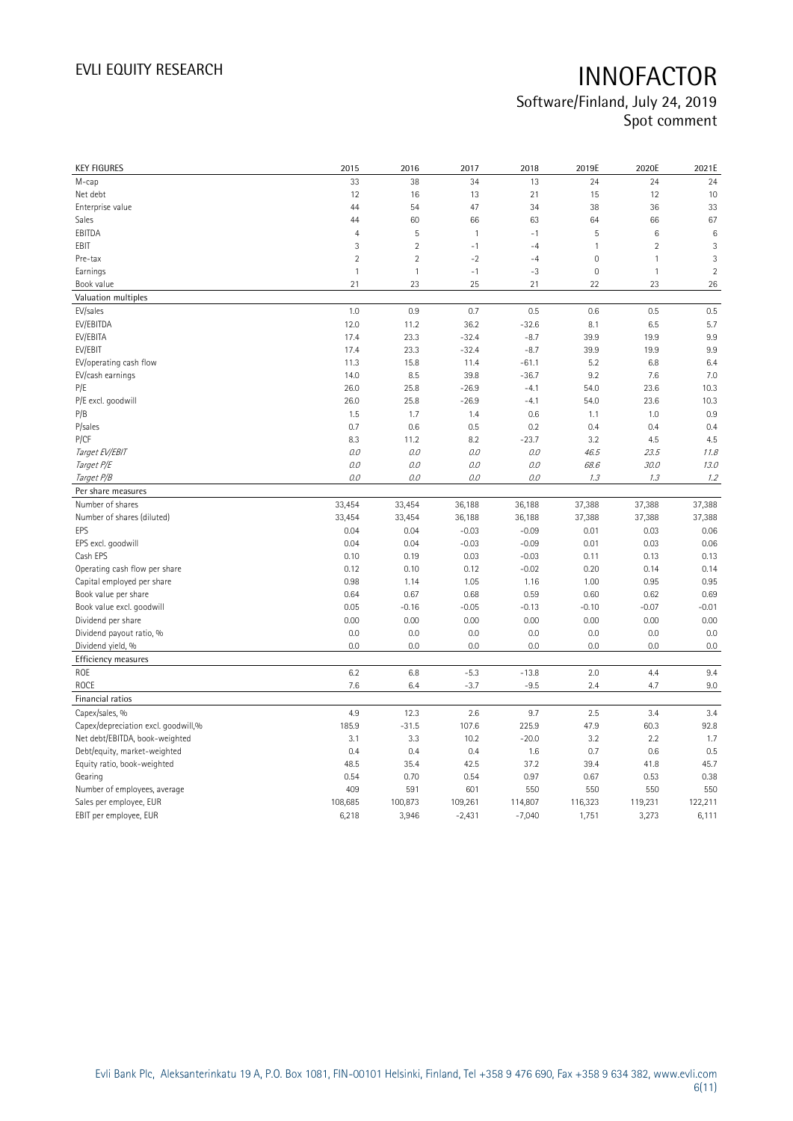## Software/Finland, July 24, 2019 Spot comment

| <b>KEY FIGURES</b>                  | 2015           | 2016           | 2017         | 2018     | 2019E               | 2020E          | 2021E           |
|-------------------------------------|----------------|----------------|--------------|----------|---------------------|----------------|-----------------|
| M-cap                               | 33             | 38             | 34           | 13       | 24                  | 24             | 24              |
| Net debt                            | 12             | 16             | 13           | 21       | 15                  | 12             | 10              |
| Enterprise value                    | 44             | 54             | 47           | 34       | 38                  | 36             | 33              |
| Sales                               | 44             | 60             | 66           | 63       | 64                  | 66             | 67              |
| EBITDA                              | $\overline{4}$ | 5              | $\mathbf{1}$ | $-1$     | $\mathsf S$         | $\,6\,$        | $6\phantom{1}6$ |
| EBIT                                | 3              | $\overline{2}$ | $-1$         | $-4$     | $\mathbf{1}$        | $\overline{2}$ | 3               |
| Pre-tax                             | $\overline{2}$ | $\overline{2}$ | $-2$         | $-4$     | $\mathsf{O}\xspace$ | $\mathbf{1}$   | 3               |
| Earnings                            | $\mathbf{1}$   | $\overline{1}$ | $-1$         | $-3$     | $\mathbb O$         | $\mathbf{1}$   | $\overline{2}$  |
| Book value                          | 21             | 23             | 25           | 21       | 22                  | 23             | 26              |
| Valuation multiples                 |                |                |              |          |                     |                |                 |
| EV/sales                            | 1.0            | 0.9            | 0.7          | 0.5      | 0.6                 | 0.5            | 0.5             |
| EV/EBITDA                           | 12.0           | 11.2           | 36.2         | $-32.6$  | 8.1                 | 6.5            | 5.7             |
| EV/EBITA                            | 17.4           | 23.3           | $-32.4$      | $-8.7$   | 39.9                | 19.9           | 9.9             |
| EV/EBIT                             | 17.4           | 23.3           | $-32.4$      | $-8.7$   | 39.9                | 19.9           | 9.9             |
| EV/operating cash flow              | 11.3           | 15.8           | 11.4         | $-61.1$  | 5.2                 | 6.8            | 6.4             |
| EV/cash earnings                    | 14.0           | 8.5            | 39.8         | $-36.7$  | 9.2                 | 7.6            | 7.0             |
| P/E                                 | 26.0           | 25.8           | $-26.9$      | $-4.1$   | 54.0                | 23.6           | 10.3            |
| P/E excl. goodwill                  | 26.0           | 25.8           | $-26.9$      | $-4.1$   | 54.0                | 23.6           | 10.3            |
| P/B                                 | 1.5            | 1.7            | 1.4          | 0.6      | 1.1                 | 1.0            | 0.9             |
| P/sales                             | 0.7            | 0.6            | 0.5          | 0.2      | 0.4                 | 0.4            | 0.4             |
| P/CF                                | 8.3            | 11.2           | 8.2          | $-23.7$  | 3.2                 | 4.5            | 4.5             |
| Target EV/EBIT                      | 0.0            | 0.0            | 0.0          | 0.0      | 46.5                | 23.5           | 11.8            |
| Target P/E                          | 0.0            | 0.0            | 0.0          | 0.0      | 68.6                | 30.0           | 13.0            |
| Target P/B                          | 0.0            | 0.0            | 0.0          | O.O      | 1.3                 | 1.3            | 1.2             |
| Per share measures                  |                |                |              |          |                     |                |                 |
| Number of shares                    | 33,454         | 33,454         | 36,188       | 36,188   | 37,388              | 37,388         | 37,388          |
| Number of shares (diluted)          | 33,454         | 33,454         | 36,188       | 36,188   | 37,388              | 37,388         | 37,388          |
| EPS                                 | 0.04           | 0.04           | $-0.03$      | $-0.09$  | 0.01                | 0.03           | 0.06            |
| EPS excl. goodwill                  | 0.04           | 0.04           | $-0.03$      | $-0.09$  | 0.01                | 0.03           | 0.06            |
| Cash EPS                            | 0.10           | 0.19           | 0.03         | $-0.03$  | 0.11                | 0.13           | 0.13            |
| Operating cash flow per share       | 0.12           | 0.10           | 0.12         | $-0.02$  | 0.20                | 0.14           | 0.14            |
| Capital employed per share          | 0.98           | 1.14           | 1.05         | 1.16     | 1.00                | 0.95           | 0.95            |
| Book value per share                | 0.64           | 0.67           | 0.68         | 0.59     | 0.60                | 0.62           | 0.69            |
| Book value excl. goodwill           | 0.05           | $-0.16$        | $-0.05$      | $-0.13$  | $-0.10$             | $-0.07$        | $-0.01$         |
| Dividend per share                  | 0.00           | 0.00           | 0.00         | 0.00     | 0.00                | 0.00           | 0.00            |
| Dividend payout ratio, %            | 0.0            | 0.0            | 0.0          | 0.0      | 0.0                 | 0.0            | 0.0             |
| Dividend yield, %                   | 0.0            | 0.0            | 0.0          | 0.0      | 0.0                 | 0.0            | 0.0             |
| Efficiency measures                 |                |                |              |          |                     |                |                 |
| ROE                                 | 6.2            | 6.8            | $-5.3$       | $-13.8$  | 2.0                 | 4.4            | 9.4             |
| ROCE                                | 7.6            | 6.4            | $-3.7$       | $-9.5$   | 2.4                 | 4.7            | 9.0             |
| Financial ratios                    |                |                |              |          |                     |                |                 |
| Capex/sales, %                      | 4.9            | 12.3           | 2.6          | 9.7      | 2.5                 | 3.4            | 3.4             |
| Capex/depreciation excl. goodwill,% | 185.9          | $-31.5$        | 107.6        | 225.9    | 47.9                | 60.3           | 92.8            |
| Net debt/EBITDA, book-weighted      | 3.1            | 3.3            | 10.2         | $-20.0$  | 3.2                 | 2.2            | 1.7             |
| Debt/equity, market-weighted        | 0.4            | 0.4            | 0.4          | 1.6      | 0.7                 | 0.6            | 0.5             |
| Equity ratio, book-weighted         | 48.5           | 35.4           | 42.5         | 37.2     | 39.4                | 41.8           | 45.7            |
| Gearing                             | 0.54           | 0.70           | 0.54         | 0.97     | 0.67                | 0.53           | 0.38            |
| Number of employees, average        | 409            | 591            | 601          | 550      | 550                 | 550            | 550             |
| Sales per employee, EUR             | 108,685        | 100,873        | 109,261      | 114,807  | 116,323             | 119,231        | 122,211         |
| EBIT per employee, EUR              | 6,218          | 3,946          | $-2,431$     | $-7,040$ | 1,751               | 3,273          | 6,111           |
|                                     |                |                |              |          |                     |                |                 |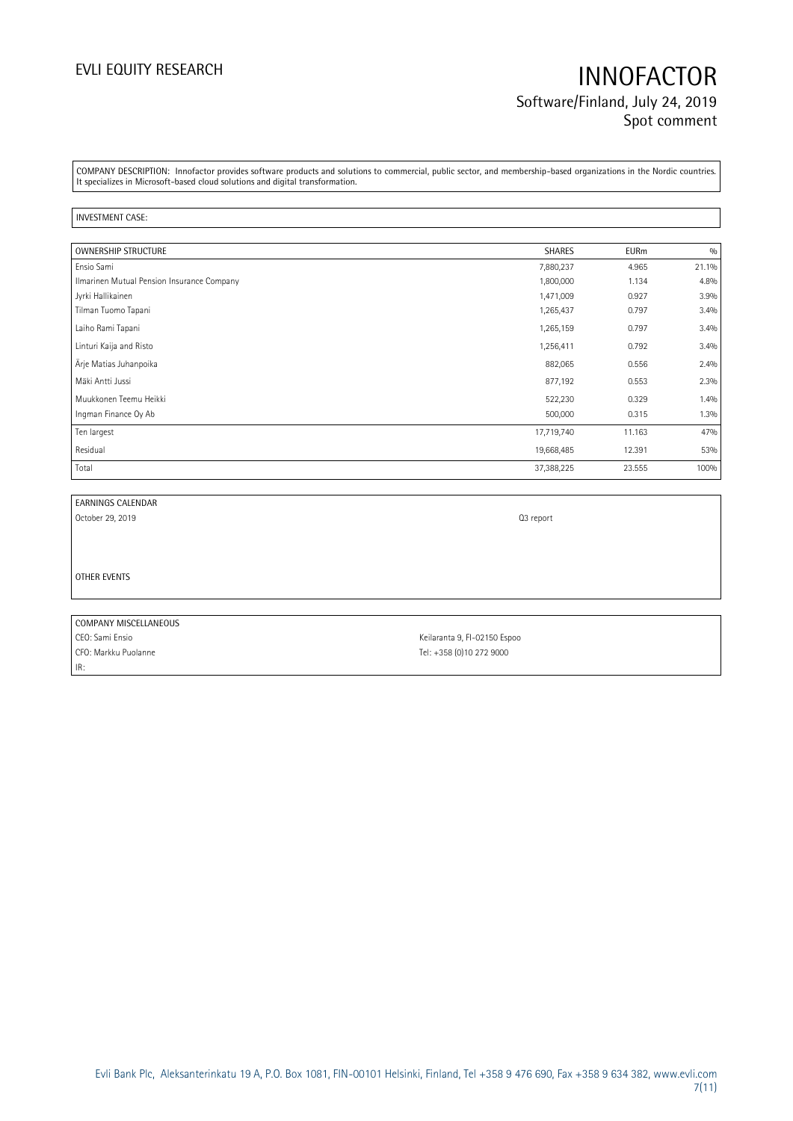# EVLI EQUITY RESEARCH **INNOFACTOR** Software/Finland, July 24, 2019 Spot comment

COMPANY DESCRIPTION: Innofactor provides software products and solutions to commercial, public sector, and membership-based organizations in the Nordic countries. It specializes in Microsoft-based cloud solutions and digital transformation.

### INVESTMENT CASE:

| <b>OWNERSHIP STRUCTURE</b>                 | SHARES     | <b>EURm</b> | 0/0   |
|--------------------------------------------|------------|-------------|-------|
| Ensio Sami                                 | 7,880,237  | 4.965       | 21.1% |
| Ilmarinen Mutual Pension Insurance Company | 1,800,000  | 1.134       | 4.8%  |
| Jyrki Hallikainen                          | 1,471,009  | 0.927       | 3.9%  |
| Tilman Tuomo Tapani                        | 1,265,437  | 0.797       | 3.4%  |
| Laiho Rami Tapani                          | 1,265,159  | 0.797       | 3.4%  |
| Linturi Kaija and Risto                    | 1,256,411  | 0.792       | 3.4%  |
| Ärje Matias Juhanpoika                     | 882,065    | 0.556       | 2.4%  |
| Mäki Antti Jussi                           | 877,192    | 0.553       | 2.3%  |
| Muukkonen Teemu Heikki                     | 522,230    | 0.329       | 1.4%  |
| Ingman Finance Oy Ab                       | 500,000    | 0.315       | 1.3%  |
| Ten largest                                | 17,719,740 | 11.163      | 47%   |
| Residual                                   | 19,668,485 | 12.391      | 53%   |
| Total                                      | 37,388,225 | 23.555      | 100%  |

| EARNINGS CALENDAR |  |
|-------------------|--|
|                   |  |

October 29, 2019 **Q3** report

OTHER EVENTS

COMPANY MISCELLANEOUS CEO: Sami Ensio Keilaranta 9, FI-02150 Espoo CFO: Markku Puolanne Tel: +358 (0)10 272 9000 IR: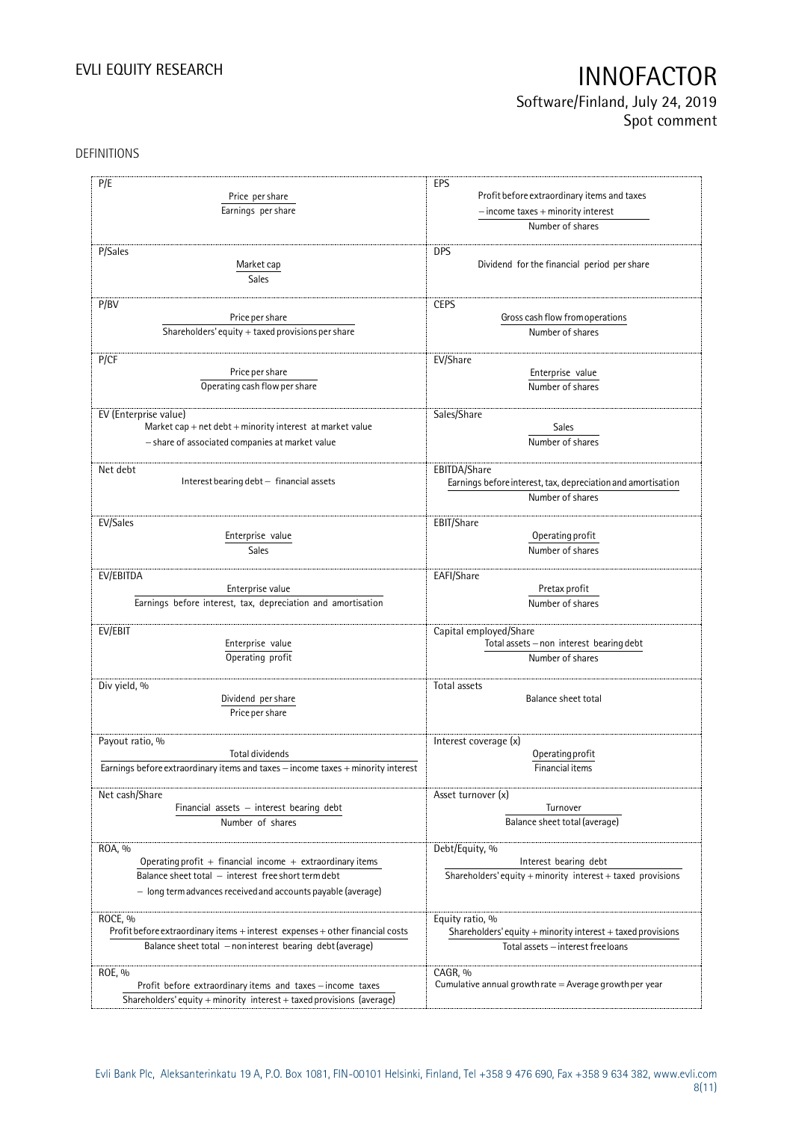Software/Finland, July 24, 2019 Spot comment

### DEFINITIONS

| P/E                                                                              | EPS                                                          |
|----------------------------------------------------------------------------------|--------------------------------------------------------------|
| Price per share                                                                  | Profit before extraordinary items and taxes                  |
|                                                                                  |                                                              |
| Earnings per share                                                               | $-$ income taxes $+$ minority interest                       |
|                                                                                  | Number of shares                                             |
| P/Sales                                                                          | <b>DPS</b>                                                   |
|                                                                                  | Dividend for the financial period per share                  |
| Market cap                                                                       |                                                              |
| <b>Sales</b>                                                                     |                                                              |
| P/BV                                                                             | <b>CEPS</b>                                                  |
| Price per share                                                                  | Gross cash flow from operations                              |
| Shareholders' equity $+$ taxed provisions per share                              | Number of shares                                             |
|                                                                                  |                                                              |
| P/CF                                                                             | EV/Share                                                     |
| Price per share                                                                  | Enterprise value                                             |
| Operating cash flow per share                                                    | Number of shares                                             |
|                                                                                  |                                                              |
| EV (Enterprise value)                                                            | Sales/Share                                                  |
| Market cap + net $debt$ + minority interest at market value                      | Sales                                                        |
|                                                                                  |                                                              |
| - share of associated companies at market value                                  | Number of shares                                             |
|                                                                                  |                                                              |
| Net debt<br>Interest bearing debt - financial assets                             | EBITDA/Share                                                 |
|                                                                                  | Earnings before interest, tax, depreciation and amortisation |
|                                                                                  | Number of shares                                             |
| EV/Sales                                                                         | EBIT/Share                                                   |
| Enterprise value                                                                 | Operating profit                                             |
| Sales                                                                            | Number of shares                                             |
|                                                                                  |                                                              |
| EV/EBITDA                                                                        | EAFI/Share                                                   |
| Enterprise value                                                                 | Pretax profit                                                |
| Earnings before interest, tax, depreciation and amortisation                     | Number of shares                                             |
|                                                                                  |                                                              |
| EV/EBIT                                                                          | Capital employed/Share                                       |
| Enterprise value                                                                 | Total assets - non interest bearing debt                     |
| Operating profit                                                                 | Number of shares                                             |
|                                                                                  |                                                              |
| Div yield, %                                                                     | Total assets                                                 |
| Dividend per share                                                               | <b>Balance sheet total</b>                                   |
| Price per share                                                                  |                                                              |
|                                                                                  |                                                              |
| Payout ratio, %                                                                  | Interest coverage (x)                                        |
| Total dividends                                                                  | Operating profit                                             |
| Earnings before extraordinary items and taxes - income taxes + minority interest | Financial items                                              |
|                                                                                  |                                                              |
| Net cash/Share                                                                   | Asset turnover (x)                                           |
| Financial assets $-$ interest bearing debt                                       | Turnover                                                     |
| Number of shares                                                                 | Balance sheet total (average)                                |
|                                                                                  |                                                              |
| ROA, %                                                                           | Debt/Equity, %                                               |
| Operating profit $+$ financial income $+$ extraordinary items                    | Interest bearing debt                                        |
| Balance sheet total - interest free short term debt                              | Shareholders' equity + minority interest + taxed provisions  |
| - long term advances received and accounts payable (average)                     |                                                              |
|                                                                                  |                                                              |
| ROCE, %                                                                          | Equity ratio, %                                              |
| Profit before extraordinary items + interest expenses + other financial costs    | Shareholders' equity + minority interest + taxed provisions  |
| Balance sheet total - non interest bearing debt (average)                        | Total assets - interest free loans                           |
|                                                                                  |                                                              |
| ROE, %                                                                           | CAGR, %                                                      |
| Profit before extraordinary items and taxes - income taxes                       | Cumulative annual growth rate $=$ Average growth per year    |
| Shareholders' equity + minority interest + taxed provisions (average)            |                                                              |
|                                                                                  |                                                              |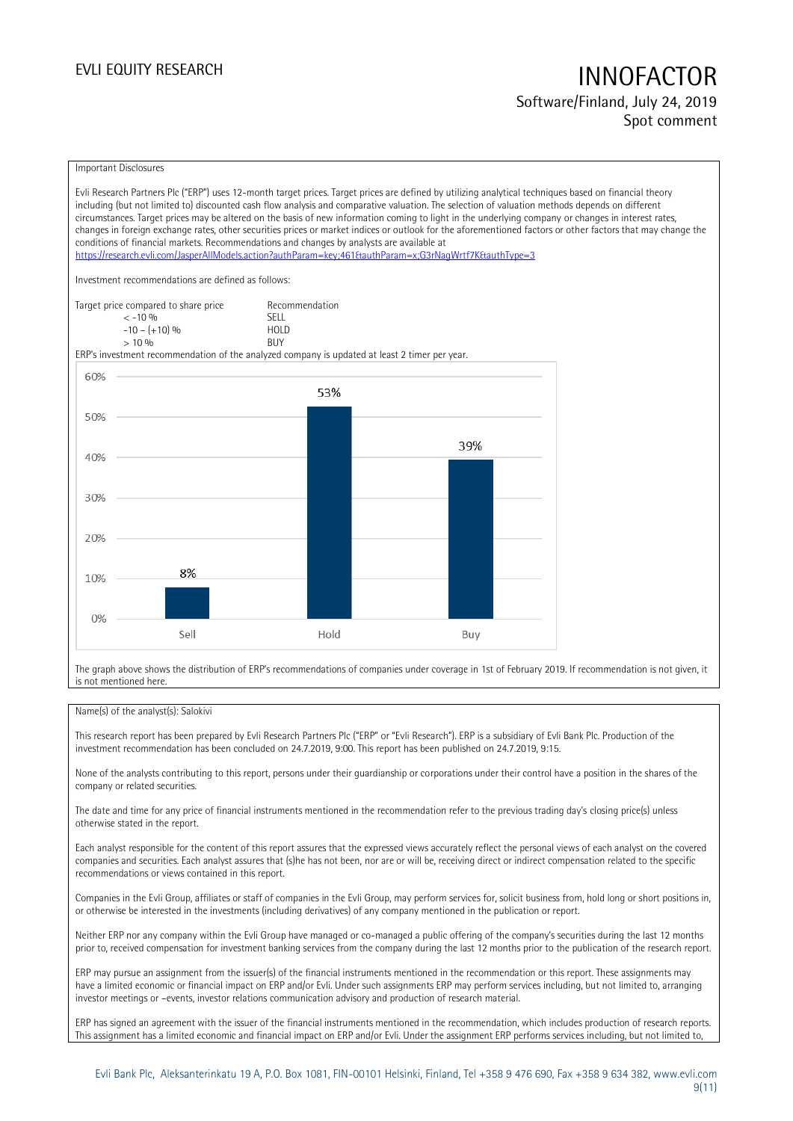# EVLI EQUITY RESEARCH **INNOFACTOR** Software/Finland, July 24, 2019

Spot comment

### Important Disclosures

Evli Research Partners Plc ("ERP") uses 12-month target prices. Target prices are defined by utilizing analytical techniques based on financial theory including (but not limited to) discounted cash flow analysis and comparative valuation. The selection of valuation methods depends on different circumstances. Target prices may be altered on the basis of new information coming to light in the underlying company or changes in interest rates, changes in foreign exchange rates, other securities prices or market indices or outlook for the aforementioned factors or other factors that may change the conditions of financial markets. Recommendations and changes by analysts are available at <https://research.evli.com/JasperAllModels.action?authParam=key;461&authParam=x;G3rNagWrtf7K&authType=3> Investment recommendations are defined as follows: Target price compared to share price Recommendation<br>  $\leq -10\%$  $\langle 5, 10, 10 \rangle$  SELL<br>  $\langle -10, 1, 10 \rangle$   $\langle 6, 10 \rangle$   $\langle 10, 10 \rangle$  $-10 - (+10) \%$  HOL<br>  $> 10 \%$  RIJY  $> 10\%$ ERP's investment recommendation of the analyzed company is updated at least 2 timer per year. 60% 53% 50% 39% 40% 30% 20% 8% 10%  $0%$ Sell Hold Buy

The graph above shows the distribution of ERP's recommendations of companies under coverage in 1st of February 2019. If recommendation is not given, it is not mentioned here.

### Name(s) of the analyst(s): Salokivi

This research report has been prepared by Evli Research Partners Plc ("ERP" or "Evli Research"). ERP is a subsidiary of Evli Bank Plc. Production of the investment recommendation has been concluded on 24.7.2019, 9:00. This report has been published on 24.7.2019, 9:15.

None of the analysts contributing to this report, persons under their guardianship or corporations under their control have a position in the shares of the company or related securities.

The date and time for any price of financial instruments mentioned in the recommendation refer to the previous trading day's closing price(s) unless otherwise stated in the report.

Each analyst responsible for the content of this report assures that the expressed views accurately reflect the personal views of each analyst on the covered companies and securities. Each analyst assures that (s)he has not been, nor are or will be, receiving direct or indirect compensation related to the specific recommendations or views contained in this report.

Companies in the Evli Group, affiliates or staff of companies in the Evli Group, may perform services for, solicit business from, hold long or short positions in, or otherwise be interested in the investments (including derivatives) of any company mentioned in the publication or report.

Neither ERP nor any company within the Evli Group have managed or co-managed a public offering of the company's securities during the last 12 months prior to, received compensation for investment banking services from the company during the last 12 months prior to the publication of the research report.

ERP may pursue an assignment from the issuer(s) of the financial instruments mentioned in the recommendation or this report. These assignments may have a limited economic or financial impact on ERP and/or Evli. Under such assignments ERP may perform services including, but not limited to, arranging investor meetings or –events, investor relations communication advisory and production of research material.

ERP has signed an agreement with the issuer of the financial instruments mentioned in the recommendation, which includes production of research reports. This assignment has a limited economic and financial impact on ERP and/or Evli. Under the assignment ERP performs services including, but not limited to,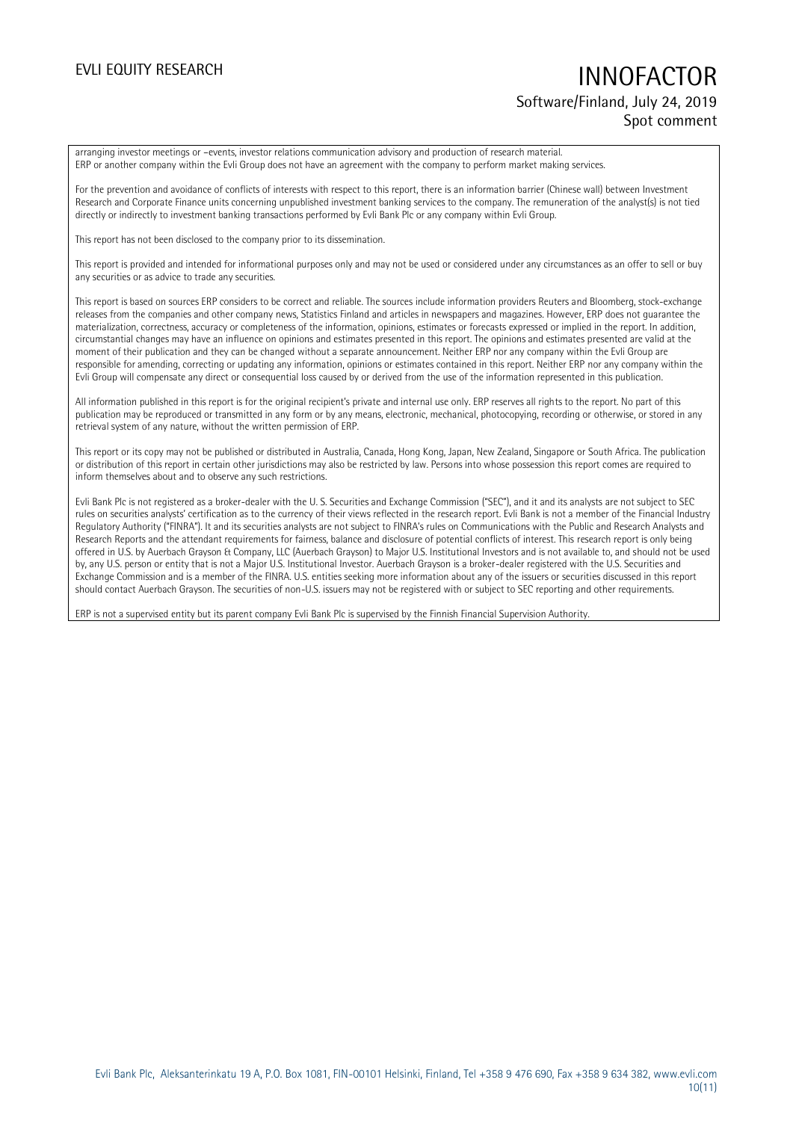## EVLI EQUITY RESEARCH **INNOFACTOR** Software/Finland, July 24, 2019 Spot comment

arranging investor meetings or –events, investor relations communication advisory and production of research material. ERP or another company within the Evli Group does not have an agreement with the company to perform market making services.

For the prevention and avoidance of conflicts of interests with respect to this report, there is an information barrier (Chinese wall) between Investment Research and Corporate Finance units concerning unpublished investment banking services to the company. The remuneration of the analyst(s) is not tied directly or indirectly to investment banking transactions performed by Evli Bank Plc or any company within Evli Group.

This report has not been disclosed to the company prior to its dissemination.

This report is provided and intended for informational purposes only and may not be used or considered under any circumstances as an offer to sell or buy any securities or as advice to trade any securities.

This report is based on sources ERP considers to be correct and reliable. The sources include information providers Reuters and Bloomberg, stock-exchange releases from the companies and other company news, Statistics Finland and articles in newspapers and magazines. However, ERP does not guarantee the materialization, correctness, accuracy or completeness of the information, opinions, estimates or forecasts expressed or implied in the report. In addition, circumstantial changes may have an influence on opinions and estimates presented in this report. The opinions and estimates presented are valid at the moment of their publication and they can be changed without a separate announcement. Neither ERP nor any company within the Evli Group are responsible for amending, correcting or updating any information, opinions or estimates contained in this report. Neither ERP nor any company within the Evli Group will compensate any direct or consequential loss caused by or derived from the use of the information represented in this publication.

All information published in this report is for the original recipient's private and internal use only. ERP reserves all rights to the report. No part of this publication may be reproduced or transmitted in any form or by any means, electronic, mechanical, photocopying, recording or otherwise, or stored in any retrieval system of any nature, without the written permission of ERP.

This report or its copy may not be published or distributed in Australia, Canada, Hong Kong, Japan, New Zealand, Singapore or South Africa. The publication or distribution of this report in certain other jurisdictions may also be restricted by law. Persons into whose possession this report comes are required to inform themselves about and to observe any such restrictions.

Evli Bank Plc is not registered as a broker-dealer with the U. S. Securities and Exchange Commission ("SEC"), and it and its analysts are not subject to SEC rules on securities analysts' certification as to the currency of their views reflected in the research report. Evli Bank is not a member of the Financial Industry Regulatory Authority ("FINRA"). It and its securities analysts are not subject to FINRA's rules on Communications with the Public and Research Analysts and Research Reports and the attendant requirements for fairness, balance and disclosure of potential conflicts of interest. This research report is only being offered in U.S. by Auerbach Grayson & Company, LLC (Auerbach Grayson) to Major U.S. Institutional Investors and is not available to, and should not be used by, any U.S. person or entity that is not a Major U.S. Institutional Investor. Auerbach Grayson is a broker-dealer registered with the U.S. Securities and Exchange Commission and is a member of the FINRA. U.S. entities seeking more information about any of the issuers or securities discussed in this report should contact Auerbach Grayson. The securities of non-U.S. issuers may not be registered with or subject to SEC reporting and other requirements.

ERP is not a supervised entity but its parent company Evli Bank Plc is supervised by the Finnish Financial Supervision Authority.